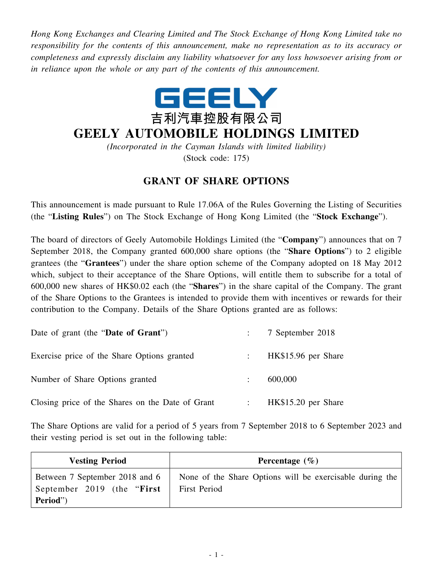*Hong Kong Exchanges and Clearing Limited and The Stock Exchange of Hong Kong Limited take no responsibility for the contents of this announcement, make no representation as to its accuracy or completeness and expressly disclaim any liability whatsoever for any loss howsoever arising from or in reliance upon the whole or any part of the contents of this announcement.*



## **GEELY AUTOMOBILE HOLDINGS LIMITED**

*(Incorporated in the Cayman Islands with limited liability)* (Stock code: 175)

## **GRANT OF SHARE OPTIONS**

This announcement is made pursuant to Rule 17.06A of the Rules Governing the Listing of Securities (the "**Listing Rules**") on The Stock Exchange of Hong Kong Limited (the "**Stock Exchange**").

The board of directors of Geely Automobile Holdings Limited (the "**Company**") announces that on 7 September 2018, the Company granted 600,000 share options (the "**Share Options**") to 2 eligible grantees (the "**Grantees**") under the share option scheme of the Company adopted on 18 May 2012 which, subject to their acceptance of the Share Options, will entitle them to subscribe for a total of 600,000 new shares of HK\$0.02 each (the "**Shares**") in the share capital of the Company. The grant of the Share Options to the Grantees is intended to provide them with incentives or rewards for their contribution to the Company. Details of the Share Options granted are as follows:

| Date of grant (the "Date of Grant")              | 7 September 2018       |
|--------------------------------------------------|------------------------|
| Exercise price of the Share Options granted      | : $HK$15.96$ per Share |
| Number of Share Options granted                  | 600,000                |
| Closing price of the Shares on the Date of Grant | HK\$15.20 per Share    |

The Share Options are valid for a period of 5 years from 7 September 2018 to 6 September 2023 and their vesting period is set out in the following table:

| <b>Vesting Period</b>                                                     | Percentage $(\% )$                                                       |
|---------------------------------------------------------------------------|--------------------------------------------------------------------------|
| Between 7 September 2018 and 6<br>September 2019 (the "First"<br>Period") | None of the Share Options will be exercisable during the<br>First Period |